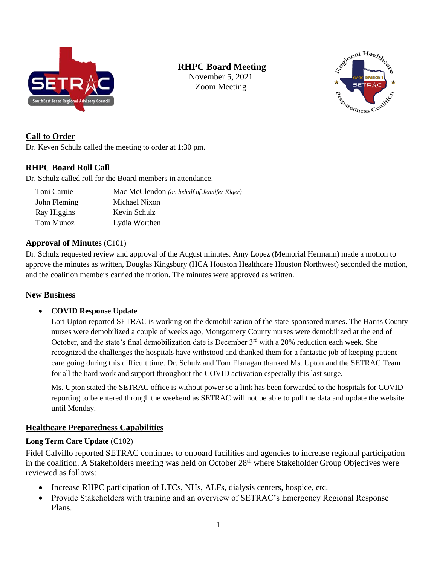

# **RHPC Board Meeting**

November 5, 2021 Zoom Meeting



## **Call to Order**

Dr. Keven Schulz called the meeting to order at 1:30 pm.

## **RHPC Board Roll Call**

Dr. Schulz called roll for the Board members in attendance.

| Toni Carnie  | Mac McClendon (on behalf of Jennifer Kiger) |
|--------------|---------------------------------------------|
| John Fleming | Michael Nixon                               |
| Ray Higgins  | Kevin Schulz                                |
| Tom Munoz    | Lydia Worthen                               |

### **Approval of Minutes** (C101)

Dr. Schulz requested review and approval of the August minutes. Amy Lopez (Memorial Hermann) made a motion to approve the minutes as written, Douglas Kingsbury (HCA Houston Healthcare Houston Northwest) seconded the motion, and the coalition members carried the motion. The minutes were approved as written.

## **New Business**

### • **COVID Response Update**

Lori Upton reported SETRAC is working on the demobilization of the state-sponsored nurses. The Harris County nurses were demobilized a couple of weeks ago, Montgomery County nurses were demobilized at the end of October, and the state's final demobilization date is December 3<sup>rd</sup> with a 20% reduction each week. She recognized the challenges the hospitals have withstood and thanked them for a fantastic job of keeping patient care going during this difficult time. Dr. Schulz and Tom Flanagan thanked Ms. Upton and the SETRAC Team for all the hard work and support throughout the COVID activation especially this last surge.

Ms. Upton stated the SETRAC office is without power so a link has been forwarded to the hospitals for COVID reporting to be entered through the weekend as SETRAC will not be able to pull the data and update the website until Monday.

## **Healthcare Preparedness Capabilities**

## **Long Term Care Update** (C102)

Fidel Calvillo reported SETRAC continues to onboard facilities and agencies to increase regional participation in the coalition. A Stakeholders meeting was held on October 28<sup>th</sup> where Stakeholder Group Objectives were reviewed as follows:

- Increase RHPC participation of LTCs, NHs, ALFs, dialysis centers, hospice, etc.
- Provide Stakeholders with training and an overview of SETRAC's Emergency Regional Response Plans.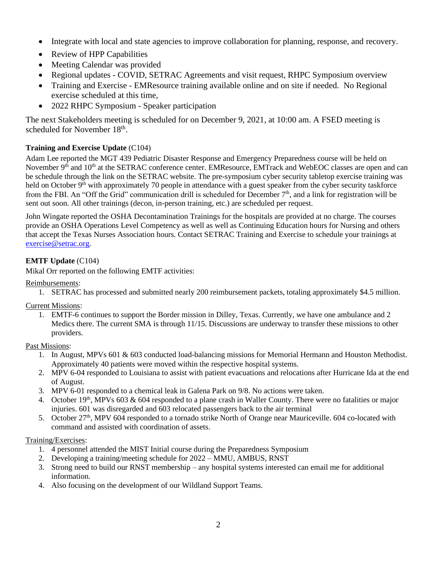- Integrate with local and state agencies to improve collaboration for planning, response, and recovery.
- Review of HPP Capabilities
- Meeting Calendar was provided
- Regional updates COVID, SETRAC Agreements and visit request, RHPC Symposium overview
- Training and Exercise EMResource training available online and on site if needed. No Regional exercise scheduled at this time,
- 2022 RHPC Symposium Speaker participation

The next Stakeholders meeting is scheduled for on December 9, 2021, at 10:00 am. A FSED meeting is scheduled for November 18<sup>th</sup>.

## **Training and Exercise Update** (C104)

Adam Lee reported the MGT 439 Pediatric Disaster Response and Emergency Preparedness course will be held on November 9<sup>th</sup> and 10<sup>th</sup> at the SETRAC conference center. EMResource, EMTrack and WebEOC classes are open and can be schedule through the link on the SETRAC website. The pre-symposium cyber security tabletop exercise training was held on October  $9<sup>th</sup>$  with approximately 70 people in attendance with a guest speaker from the cyber security taskforce from the FBI. An "Off the Grid" communication drill is scheduled for December  $7<sup>th</sup>$ , and a link for registration will be sent out soon. All other trainings (decon, in-person training, etc.) are scheduled per request.

John Wingate reported the OSHA Decontamination Trainings for the hospitals are provided at no charge. The courses provide an OSHA Operations Level Competency as well as well as Continuing Education hours for Nursing and others that accept the Texas Nurses Association hours. Contact SETRAC Training and Exercise to schedule your trainings at [exercise@setrac.org.](mailto:exercise@setrac.org)

### **EMTF Update** (C104)

Mikal Orr reported on the following EMTF activities:

Reimbursements:

1. SETRAC has processed and submitted nearly 200 reimbursement packets, totaling approximately \$4.5 million.

Current Missions:

1. EMTF-6 continues to support the Border mission in Dilley, Texas. Currently, we have one ambulance and 2 Medics there. The current SMA is through 11/15. Discussions are underway to transfer these missions to other providers.

Past Missions:

- 1. In August, MPVs 601 & 603 conducted load-balancing missions for Memorial Hermann and Houston Methodist. Approximately 40 patients were moved within the respective hospital systems.
- 2. MPV 6-04 responded to Louisiana to assist with patient evacuations and relocations after Hurricane Ida at the end of August.
- 3. MPV 6-01 responded to a chemical leak in Galena Park on 9/8. No actions were taken.
- 4. October 19<sup>th</sup>, MPVs 603 & 604 responded to a plane crash in Waller County. There were no fatalities or major injuries. 601 was disregarded and 603 relocated passengers back to the air terminal
- 5. October 27th, MPV 604 responded to a tornado strike North of Orange near Mauriceville. 604 co-located with command and assisted with coordination of assets.

#### Training/Exercises:

- 1. 4 personnel attended the MIST Initial course during the Preparedness Symposium
- 2. Developing a training/meeting schedule for 2022 MMU, AMBUS, RNST
- 3. Strong need to build our RNST membership any hospital systems interested can email me for additional information.
- 4. Also focusing on the development of our Wildland Support Teams.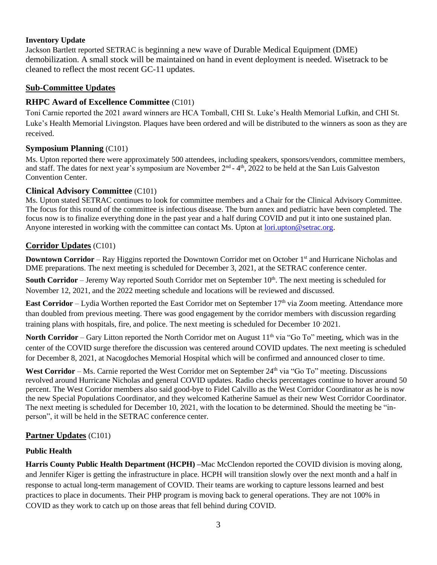### **Inventory Update**

Jackson Bartlett reported SETRAC is beginning a new wave of Durable Medical Equipment (DME) demobilization. A small stock will be maintained on hand in event deployment is needed. Wisetrack to be cleaned to reflect the most recent GC-11 updates.

## **Sub-Committee Updates**

### **RHPC Award of Excellence Committee** (C101)

Toni Carnie reported the 2021 award winners are HCA Tomball, CHI St. Luke's Health Memorial Lufkin, and CHI St. Luke's Health Memorial Livingston. Plaques have been ordered and will be distributed to the winners as soon as they are received.

### **Symposium Planning** (C101)

Ms. Upton reported there were approximately 500 attendees, including speakers, sponsors/vendors, committee members, and staff. The dates for next year's symposium are November 2<sup>nd</sup> - 4<sup>th</sup>, 2022 to be held at the San Luis Galveston Convention Center.

### **Clinical Advisory Committee** (C101)

Ms. Upton stated SETRAC continues to look for committee members and a Chair for the Clinical Advisory Committee. The focus for this round of the committee is infectious disease. The burn annex and pediatric have been completed. The focus now is to finalize everything done in the past year and a half during COVID and put it into one sustained plan. Anyone interested in working with the committee can contact Ms. Upton at [lori.upton@setrac.org.](mailto:lori.upton@setrac.org)

### **Corridor Updates** (C101)

**Downtown Corridor** – Ray Higgins reported the Downtown Corridor met on October 1<sup>st</sup> and Hurricane Nicholas and DME preparations. The next meeting is scheduled for December 3, 2021, at the SETRAC conference center.

**South Corridor** – Jeremy Way reported South Corridor met on September 10<sup>th</sup>. The next meeting is scheduled for November 12, 2021, and the 2022 meeting schedule and locations will be reviewed and discussed.

**East Corridor** – Lydia Worthen reported the East Corridor met on September 17<sup>th</sup> via Zoom meeting. Attendance more than doubled from previous meeting. There was good engagement by the corridor members with discussion regarding training plans with hospitals, fire, and police. The next meeting is scheduled for December 10, 2021.

**North Corridor** – Gary Litton reported the North Corridor met on August 11<sup>th</sup> via "Go To" meeting, which was in the center of the COVID surge therefore the discussion was centered around COVID updates. The next meeting is scheduled for December 8, 2021, at Nacogdoches Memorial Hospital which will be confirmed and announced closer to time.

West Corridor – Ms. Carnie reported the West Corridor met on September 24<sup>th</sup> via "Go To" meeting. Discussions revolved around Hurricane Nicholas and general COVID updates. Radio checks percentages continue to hover around 50 percent. The West Corridor members also said good-bye to Fidel Calvillo as the West Corridor Coordinator as he is now the new Special Populations Coordinator, and they welcomed Katherine Samuel as their new West Corridor Coordinator. The next meeting is scheduled for December 10, 2021, with the location to be determined. Should the meeting be "inperson", it will be held in the SETRAC conference center.

## **Partner Updates** (C101)

## **Public Health**

**Harris County Public Health Department (HCPH) –**Mac McClendon reported the COVID division is moving along, and Jennifer Kiger is getting the infrastructure in place. HCPH will transition slowly over the next month and a half in response to actual long-term management of COVID. Their teams are working to capture lessons learned and best practices to place in documents. Their PHP program is moving back to general operations. They are not 100% in COVID as they work to catch up on those areas that fell behind during COVID.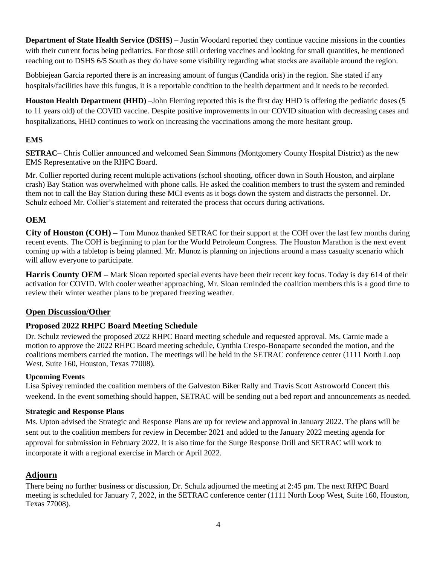**Department of State Health Service (DSHS) –** Justin Woodard reported they continue vaccine missions in the counties with their current focus being pediatrics. For those still ordering vaccines and looking for small quantities, he mentioned reaching out to DSHS 6/5 South as they do have some visibility regarding what stocks are available around the region.

Bobbiejean Garcia reported there is an increasing amount of fungus (Candida oris) in the region. She stated if any hospitals/facilities have this fungus, it is a reportable condition to the health department and it needs to be recorded.

**Houston Health Department (HHD)** –John Fleming reported this is the first day HHD is offering the pediatric doses (5 to 11 years old) of the COVID vaccine. Despite positive improvements in our COVID situation with decreasing cases and hospitalizations, HHD continues to work on increasing the vaccinations among the more hesitant group.

### **EMS**

**SETRAC–** Chris Collier announced and welcomed Sean Simmons (Montgomery County Hospital District) as the new EMS Representative on the RHPC Board.

Mr. Collier reported during recent multiple activations (school shooting, officer down in South Houston, and airplane crash) Bay Station was overwhelmed with phone calls. He asked the coalition members to trust the system and reminded them not to call the Bay Station during these MCI events as it bogs down the system and distracts the personnel. Dr. Schulz echoed Mr. Collier's statement and reiterated the process that occurs during activations.

## **OEM**

**City of Houston (COH) –** Tom Munoz thanked SETRAC for their support at the COH over the last few months during recent events. The COH is beginning to plan for the World Petroleum Congress. The Houston Marathon is the next event coming up with a tabletop is being planned. Mr. Munoz is planning on injections around a mass casualty scenario which will allow everyone to participate.

**Harris County OEM** – Mark Sloan reported special events have been their recent key focus. Today is day 614 of their activation for COVID. With cooler weather approaching, Mr. Sloan reminded the coalition members this is a good time to review their winter weather plans to be prepared freezing weather.

## **Open Discussion/Other**

## **Proposed 2022 RHPC Board Meeting Schedule**

Dr. Schulz reviewed the proposed 2022 RHPC Board meeting schedule and requested approval. Ms. Carnie made a motion to approve the 2022 RHPC Board meeting schedule, Cynthia Crespo-Bonaparte seconded the motion, and the coalitions members carried the motion. The meetings will be held in the SETRAC conference center (1111 North Loop West, Suite 160, Houston, Texas 77008).

### **Upcoming Events**

Lisa Spivey reminded the coalition members of the Galveston Biker Rally and Travis Scott Astroworld Concert this weekend. In the event something should happen, SETRAC will be sending out a bed report and announcements as needed.

### **Strategic and Response Plans**

Ms. Upton advised the Strategic and Response Plans are up for review and approval in January 2022. The plans will be sent out to the coalition members for review in December 2021 and added to the January 2022 meeting agenda for approval for submission in February 2022. It is also time for the Surge Response Drill and SETRAC will work to incorporate it with a regional exercise in March or April 2022.

## **Adjourn**

There being no further business or discussion, Dr. Schulz adjourned the meeting at 2:45 pm. The next RHPC Board meeting is scheduled for January 7, 2022, in the SETRAC conference center (1111 North Loop West, Suite 160, Houston, Texas 77008).